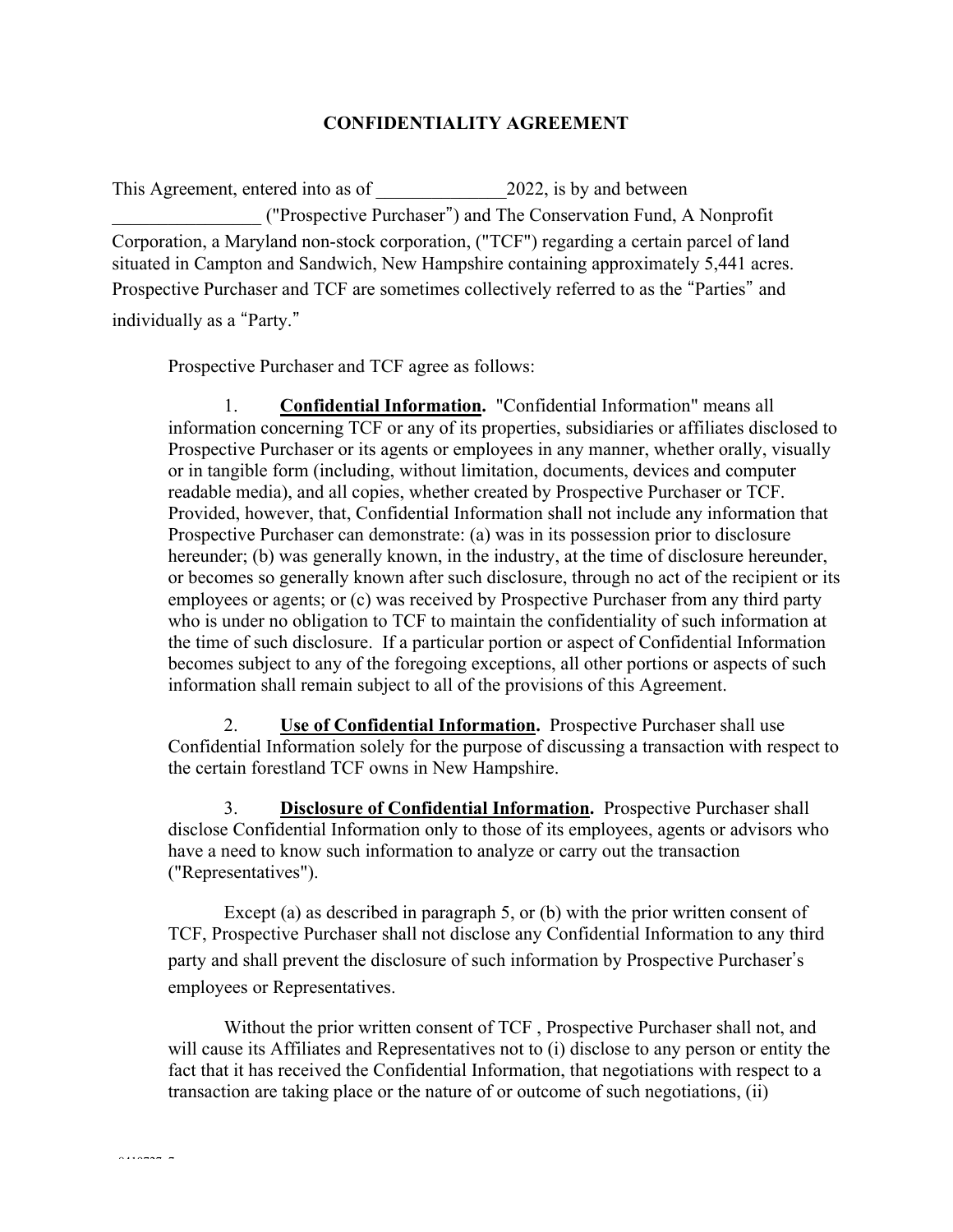## **CONFIDENTIALITY AGREEMENT**

This Agreement, entered into as of 2022, is by and between \_\_\_\_\_\_\_\_\_\_\_\_\_\_\_\_ ("Prospective Purchaser") and The Conservation Fund, A Nonprofit Corporation, a Maryland non-stock corporation, ("TCF") regarding a certain parcel of land situated in Campton and Sandwich, New Hampshire containing approximately 5,441 acres. Prospective Purchaser and TCF are sometimes collectively referred to as the "Parties" and individually as a "Party."

Prospective Purchaser and TCF agree as follows:

1. **Confidential Information.** "Confidential Information" means all information concerning TCF or any of its properties, subsidiaries or affiliates disclosed to Prospective Purchaser or its agents or employees in any manner, whether orally, visually or in tangible form (including, without limitation, documents, devices and computer readable media), and all copies, whether created by Prospective Purchaser or TCF. Provided, however, that, Confidential Information shall not include any information that Prospective Purchaser can demonstrate: (a) was in its possession prior to disclosure hereunder; (b) was generally known, in the industry, at the time of disclosure hereunder, or becomes so generally known after such disclosure, through no act of the recipient or its employees or agents; or (c) was received by Prospective Purchaser from any third party who is under no obligation to TCF to maintain the confidentiality of such information at the time of such disclosure. If a particular portion or aspect of Confidential Information becomes subject to any of the foregoing exceptions, all other portions or aspects of such information shall remain subject to all of the provisions of this Agreement.

2. **Use of Confidential Information.** Prospective Purchaser shall use Confidential Information solely for the purpose of discussing a transaction with respect to the certain forestland TCF owns in New Hampshire.

3. **Disclosure of Confidential Information.** Prospective Purchaser shall disclose Confidential Information only to those of its employees, agents or advisors who have a need to know such information to analyze or carry out the transaction ("Representatives").

Except (a) as described in paragraph 5, or (b) with the prior written consent of TCF, Prospective Purchaser shall not disclose any Confidential Information to any third party and shall prevent the disclosure of such information by Prospective Purchaser's employees or Representatives.

Without the prior written consent of TCF , Prospective Purchaser shall not, and will cause its Affiliates and Representatives not to (i) disclose to any person or entity the fact that it has received the Confidential Information, that negotiations with respect to a transaction are taking place or the nature of or outcome of such negotiations, (ii)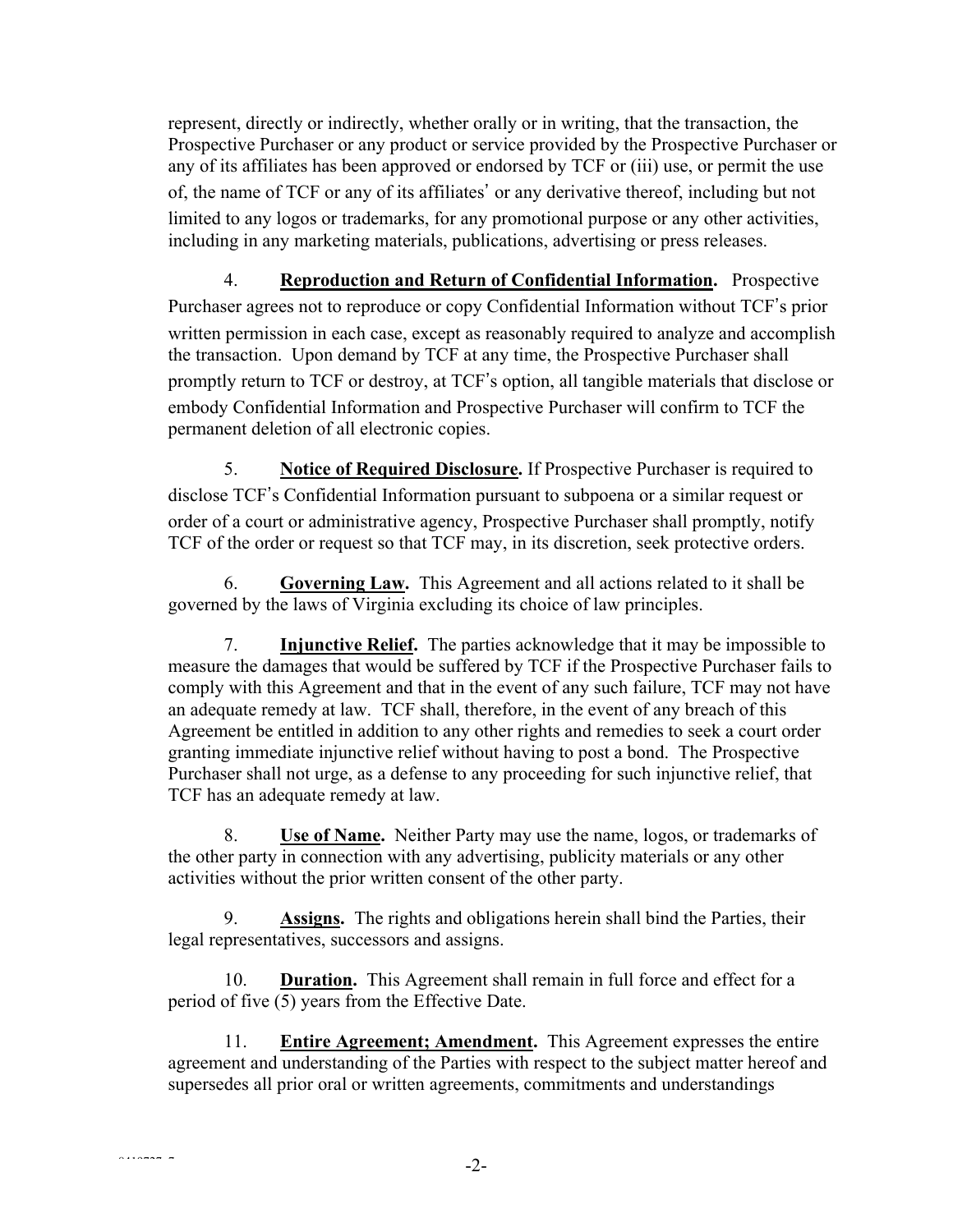represent, directly or indirectly, whether orally or in writing, that the transaction, the Prospective Purchaser or any product or service provided by the Prospective Purchaser or any of its affiliates has been approved or endorsed by TCF or (iii) use, or permit the use of, the name of TCF or any of its affiliates' or any derivative thereof, including but not limited to any logos or trademarks, for any promotional purpose or any other activities, including in any marketing materials, publications, advertising or press releases.

4. **Reproduction and Return of Confidential Information.** Prospective Purchaser agrees not to reproduce or copy Confidential Information without TCF's prior written permission in each case, except as reasonably required to analyze and accomplish the transaction. Upon demand by TCF at any time, the Prospective Purchaser shall promptly return to TCF or destroy, at TCF's option, all tangible materials that disclose or embody Confidential Information and Prospective Purchaser will confirm to TCF the permanent deletion of all electronic copies.

5. **Notice of Required Disclosure.** If Prospective Purchaser is required to disclose TCF's Confidential Information pursuant to subpoena or a similar request or order of a court or administrative agency, Prospective Purchaser shall promptly, notify TCF of the order or request so that TCF may, in its discretion, seek protective orders.

6. **Governing Law.** This Agreement and all actions related to it shall be governed by the laws of Virginia excluding its choice of law principles.

7. **Injunctive Relief.** The parties acknowledge that it may be impossible to measure the damages that would be suffered by TCF if the Prospective Purchaser fails to comply with this Agreement and that in the event of any such failure, TCF may not have an adequate remedy at law. TCF shall, therefore, in the event of any breach of this Agreement be entitled in addition to any other rights and remedies to seek a court order granting immediate injunctive relief without having to post a bond. The Prospective Purchaser shall not urge, as a defense to any proceeding for such injunctive relief, that TCF has an adequate remedy at law.

8. **Use of Name.** Neither Party may use the name, logos, or trademarks of the other party in connection with any advertising, publicity materials or any other activities without the prior written consent of the other party.

9. **Assigns.** The rights and obligations herein shall bind the Parties, their legal representatives, successors and assigns.

10. **Duration.** This Agreement shall remain in full force and effect for a period of five (5) years from the Effective Date.

11. **Entire Agreement; Amendment.** This Agreement expresses the entire agreement and understanding of the Parties with respect to the subject matter hereof and supersedes all prior oral or written agreements, commitments and understandings

 $\frac{1}{2}$ -2-